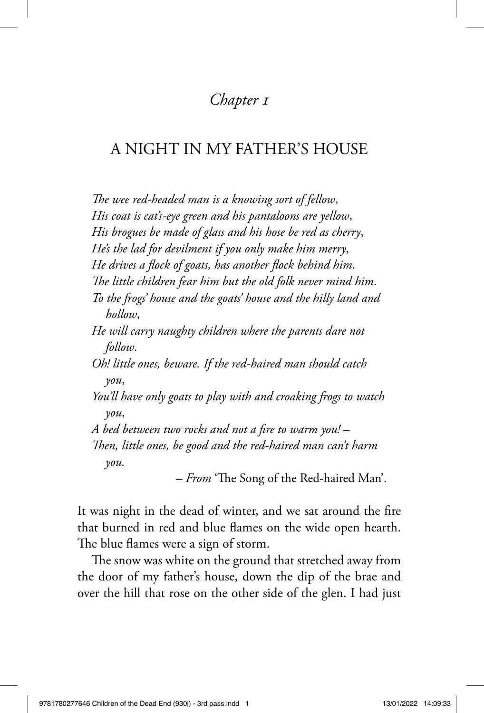## *Chapter 1*

## A NIGHT IN MY FATHER'S HOUSE

The wee red-headed man is a knowing sort of fellow, *His coat is cat's-eye green and his pantaloons are yellow*, *His brogues be made of glass and his hose be red as cherry*, *He's the lad for devilment if you only make him merry*, He drives a flock of goats, has another flock behind him. The little children fear him but the old folk never mind him. *To the frogs' house and the goats' house and the hilly land and hollow*, *He will carry naughty children where the parents dare not follow*. *Oh! little ones, beware. If the red-haired man should catch you*, *You'll have only goats to play with and croaking frogs to watch you*, A bed between two rocks and not a fire to warm you! – *Then, little ones, be good and the red-haired man can't harm you.*

– *From* 'The Song of the Red-haired Man'.

It was night in the dead of winter, and we sat around the fire that burned in red and blue flames on the wide open hearth. The blue flames were a sign of storm.

The snow was white on the ground that stretched away from the door of my father's house, down the dip of the brae and over the hill that rose on the other side of the glen. I had just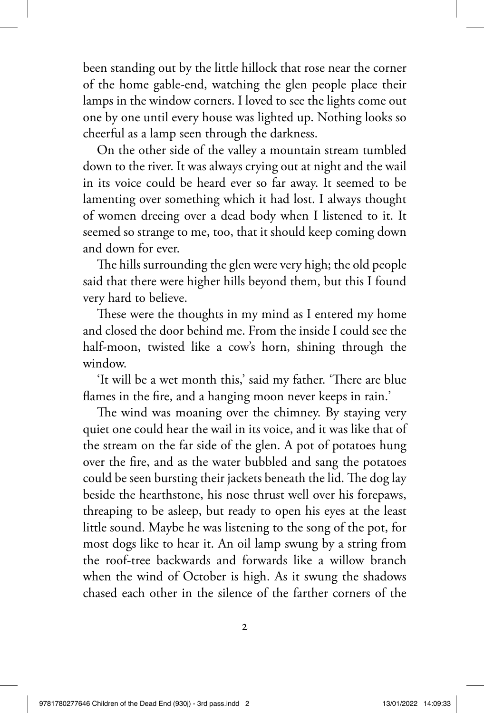been standing out by the little hillock that rose near the corner of the home gable-end, watching the glen people place their lamps in the window corners. I loved to see the lights come out one by one until every house was lighted up. Nothing looks so cheerful as a lamp seen through the darkness.

On the other side of the valley a mountain stream tumbled down to the river. It was always crying out at night and the wail in its voice could be heard ever so far away. It seemed to be lamenting over something which it had lost. I always thought of women dreeing over a dead body when I listened to it. It seemed so strange to me, too, that it should keep coming down and down for ever.

The hills surrounding the glen were very high; the old people said that there were higher hills beyond them, but this I found very hard to believe.

These were the thoughts in my mind as I entered my home and closed the door behind me. From the inside I could see the half-moon, twisted like a cow's horn, shining through the window.

'It will be a wet month this,' said my father. 'There are blue flames in the fire, and a hanging moon never keeps in rain.'

The wind was moaning over the chimney. By staying very quiet one could hear the wail in its voice, and it was like that of the stream on the far side of the glen. A pot of potatoes hung over the fire, and as the water bubbled and sang the potatoes could be seen bursting their jackets beneath the lid. The dog lay beside the hearthstone, his nose thrust well over his forepaws, threaping to be asleep, but ready to open his eyes at the least little sound. Maybe he was listening to the song of the pot, for most dogs like to hear it. An oil lamp swung by a string from the roof-tree backwards and forwards like a willow branch when the wind of October is high. As it swung the shadows chased each other in the silence of the farther corners of the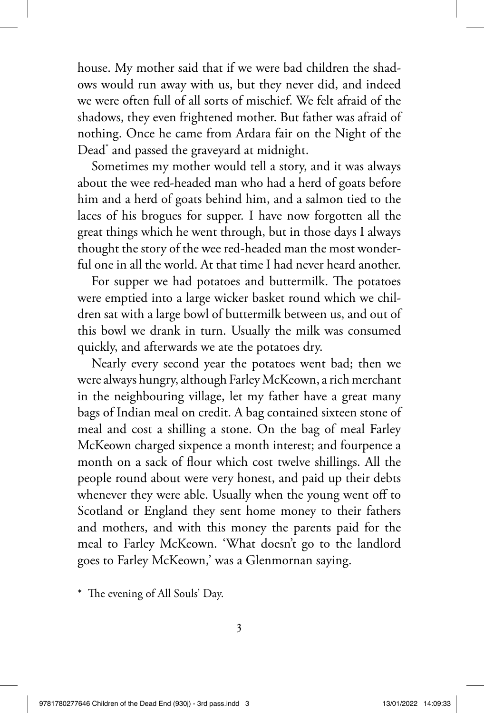house. My mother said that if we were bad children the shadows would run away with us, but they never did, and indeed we were often full of all sorts of mischief. We felt afraid of the shadows, they even frightened mother. But father was afraid of nothing. Once he came from Ardara fair on the Night of the Dead\* and passed the graveyard at midnight.

Sometimes my mother would tell a story, and it was always about the wee red-headed man who had a herd of goats before him and a herd of goats behind him, and a salmon tied to the laces of his brogues for supper. I have now forgotten all the great things which he went through, but in those days I always thought the story of the wee red-headed man the most wonderful one in all the world. At that time I had never heard another.

For supper we had potatoes and buttermilk. The potatoes were emptied into a large wicker basket round which we children sat with a large bowl of buttermilk between us, and out of this bowl we drank in turn. Usually the milk was consumed quickly, and afterwards we ate the potatoes dry.

Nearly every second year the potatoes went bad; then we were always hungry, although Farley McKeown, a rich merchant in the neighbouring village, let my father have a great many bags of Indian meal on credit. A bag contained sixteen stone of meal and cost a shilling a stone. On the bag of meal Farley McKeown charged sixpence a month interest; and fourpence a month on a sack of flour which cost twelve shillings. All the people round about were very honest, and paid up their debts whenever they were able. Usually when the young went off to Scotland or England they sent home money to their fathers and mothers, and with this money the parents paid for the meal to Farley McKeown. 'What doesn't go to the landlord goes to Farley McKeown,' was a Glenmornan saying.

\* The evening of All Souls' Day.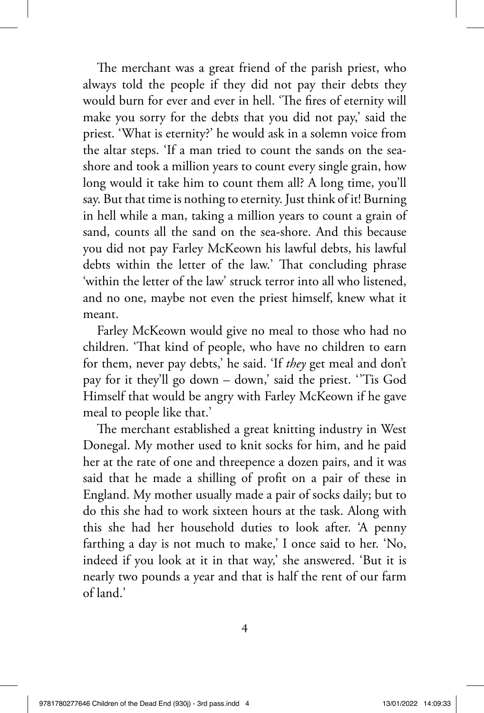The merchant was a great friend of the parish priest, who always told the people if they did not pay their debts they would burn for ever and ever in hell. 'The fires of eternity will make you sorry for the debts that you did not pay,' said the priest. 'What is eternity?' he would ask in a solemn voice from the altar steps. 'If a man tried to count the sands on the seashore and took a million years to count every single grain, how long would it take him to count them all? A long time, you'll say. But that time is nothing to eternity. Just think of it! Burning in hell while a man, taking a million years to count a grain of sand, counts all the sand on the sea-shore. And this because you did not pay Farley McKeown his lawful debts, his lawful debts within the letter of the law.' That concluding phrase 'within the letter of the law' struck terror into all who listened, and no one, maybe not even the priest himself, knew what it meant.

Farley McKeown would give no meal to those who had no children. 'That kind of people, who have no children to earn for them, never pay debts,' he said. 'If *they* get meal and don't pay for it they'll go down – down,' said the priest. ' 'Tis God Himself that would be angry with Farley McKeown if he gave meal to people like that.'

The merchant established a great knitting industry in West Donegal. My mother used to knit socks for him, and he paid her at the rate of one and threepence a dozen pairs, and it was said that he made a shilling of profit on a pair of these in England. My mother usually made a pair of socks daily; but to do this she had to work sixteen hours at the task. Along with this she had her household duties to look after. 'A penny farthing a day is not much to make,' I once said to her. 'No, indeed if you look at it in that way,' she answered. 'But it is nearly two pounds a year and that is half the rent of our farm of land.'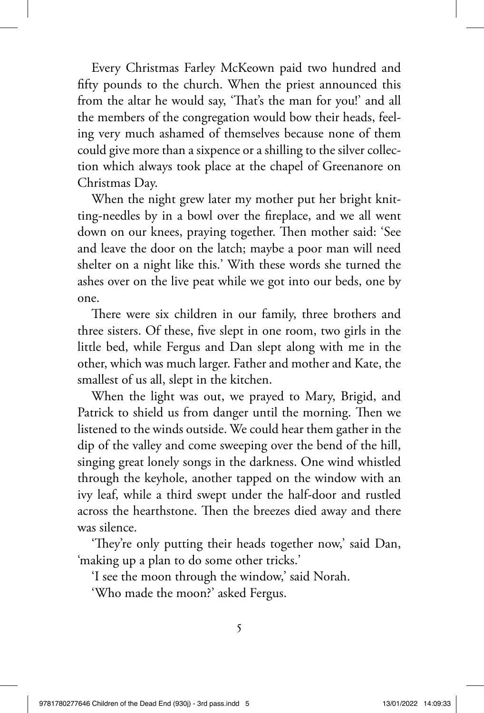Every Christmas Farley McKeown paid two hundred and fifty pounds to the church. When the priest announced this from the altar he would say, 'That's the man for you!' and all the members of the congregation would bow their heads, feeling very much ashamed of themselves because none of them could give more than a sixpence or a shilling to the silver collection which always took place at the chapel of Greenanore on Christmas Day.

When the night grew later my mother put her bright knitting-needles by in a bowl over the fireplace, and we all went down on our knees, praying together. Then mother said: 'See and leave the door on the latch; maybe a poor man will need shelter on a night like this.' With these words she turned the ashes over on the live peat while we got into our beds, one by one.

There were six children in our family, three brothers and three sisters. Of these, five slept in one room, two girls in the little bed, while Fergus and Dan slept along with me in the other, which was much larger. Father and mother and Kate, the smallest of us all, slept in the kitchen.

When the light was out, we prayed to Mary, Brigid, and Patrick to shield us from danger until the morning. Then we listened to the winds outside. We could hear them gather in the dip of the valley and come sweeping over the bend of the hill, singing great lonely songs in the darkness. One wind whistled through the keyhole, another tapped on the window with an ivy leaf, while a third swept under the half-door and rustled across the hearthstone. Then the breezes died away and there was silence.

'They're only putting their heads together now,' said Dan, 'making up a plan to do some other tricks.'

'I see the moon through the window,' said Norah.

'Who made the moon?' asked Fergus.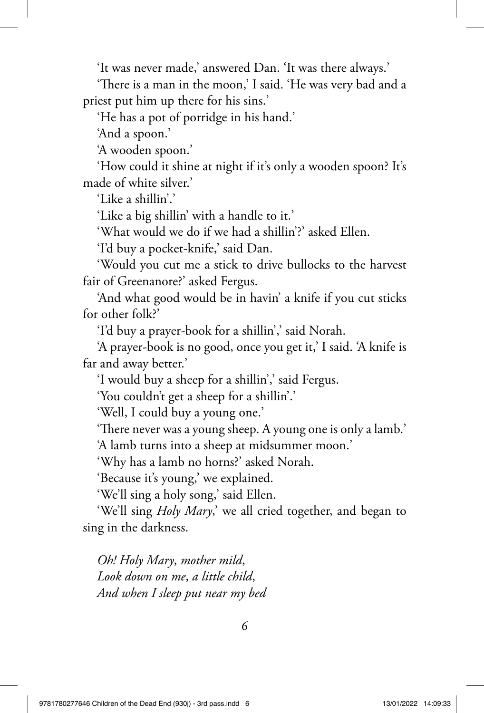'It was never made,' answered Dan. 'It was there always.'

'There is a man in the moon,' I said. 'He was very bad and a priest put him up there for his sins.'

'He has a pot of porridge in his hand.'

'And a spoon.'

'A wooden spoon.'

'How could it shine at night if it's only a wooden spoon? It's made of white silver.'

'Like a shillin'.'

'Like a big shillin' with a handle to it.'

'What would we do if we had a shillin'?' asked Ellen.

'I'd buy a pocket-knife,' said Dan.

'Would you cut me a stick to drive bullocks to the harvest fair of Greenanore?' asked Fergus.

'And what good would be in havin' a knife if you cut sticks for other folk?'

'I'd buy a prayer-book for a shillin',' said Norah.

'A prayer-book is no good, once you get it,' I said. 'A knife is far and away better.'

'I would buy a sheep for a shillin',' said Fergus.

'You couldn't get a sheep for a shillin'.'

'Well, I could buy a young one.'

'There never was a young sheep. A young one is only a lamb.'

'A lamb turns into a sheep at midsummer moon.'

'Why has a lamb no horns?' asked Norah.

'Because it's young,' we explained.

'We'll sing a holy song,' said Ellen.

'We'll sing *Holy Mary*,' we all cried together, and began to sing in the darkness.

*Oh! Holy Mary*, *mother mild*, *Look down on me*, *a little child*, *And when I sleep put near my bed*